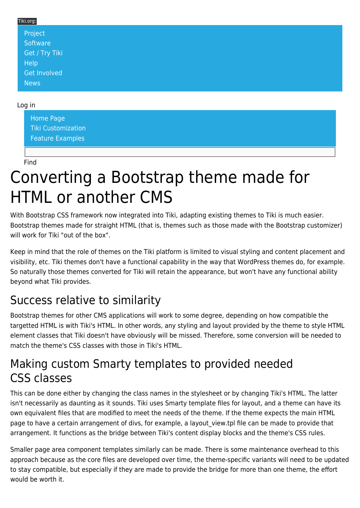#### Tiki.org: [Project](https://tiki.org/Project Introduction) **[Software](https://tiki.org/Software Overview and Model)** [Get / Try Tiki](https://tiki.org/Get Tiki - Try Tiki) **[Help](https://tiki.org/Get Help)** [Get Involved](https://tiki.org/Get Involved) [News](https://tiki.org/News)

#### Log in

[Home Page](https://themes.tiki.org/Themes) [Tiki Customization](https://themes.tiki.org/Tiki-Customization) [Feature Examples](#page--1-0)

Find

# Converting a Bootstrap theme made for HTML or another CMS

With Bootstrap CSS framework now integrated into Tiki, adapting existing themes to Tiki is much easier. Bootstrap themes made for straight HTML (that is, themes such as those made with the Bootstrap customizer) will work for Tiki "out of the box".

Keep in mind that the role of themes on the Tiki platform is limited to visual styling and content placement and visibility, etc. Tiki themes don't have a functional capability in the way that WordPress themes do, for example. So naturally those themes converted for Tiki will retain the appearance, but won't have any functional ability beyond what Tiki provides.

## Success relative to similarity

Bootstrap themes for other CMS applications will work to some degree, depending on how compatible the targetted HTML is with Tiki's HTML. In other words, any styling and layout provided by the theme to style HTML element classes that Tiki doesn't have obviously will be missed. Therefore, some conversion will be needed to match the theme's CSS classes with those in Tiki's HTML.

#### Making custom Smarty templates to provided needed CSS classes

This can be done either by changing the class names in the stylesheet or by changing Tiki's HTML. The latter isn't necessarily as daunting as it sounds. Tiki uses Smarty template files for layout, and a theme can have its own equivalent files that are modified to meet the needs of the theme. If the theme expects the main HTML page to have a certain arrangement of divs, for example, a layout view.tpl file can be made to provide that arrangement. It functions as the bridge between Tiki's content display blocks and the theme's CSS rules.

Smaller page area component templates similarly can be made. There is some maintenance overhead to this approach because as the core files are developed over time, the theme-specific variants will need to be updated to stay compatible, but especially if they are made to provide the bridge for more than one theme, the effort would be worth it.